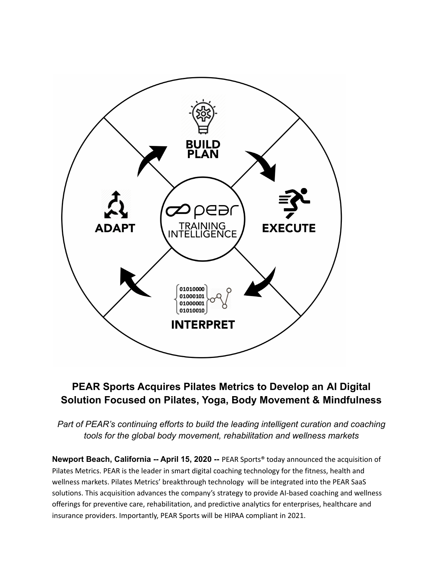

# **PEAR Sports Acquires Pilates Metrics to Develop an AI Digital Solution Focused on Pilates, Yoga, Body Movement & Mindfulness**

*Part of PEAR's continuing efforts to build the leading intelligent curation and coaching tools for the global body movement, rehabilitation and wellness markets*

**Newport Beach, California -- April 15, 2020 --** PEAR Sports® today announced the acquisition of Pilates Metrics. PEAR is the leader in smart digital coaching technology for the fitness, health and wellness markets. Pilates Metrics' breakthrough technology will be integrated into the PEAR SaaS solutions. This acquisition advances the company's strategy to provide AI-based coaching and wellness offerings for preventive care, rehabilitation, and predictive analytics for enterprises, healthcare and insurance providers. Importantly, PEAR Sports will be HIPAA compliant in 2021.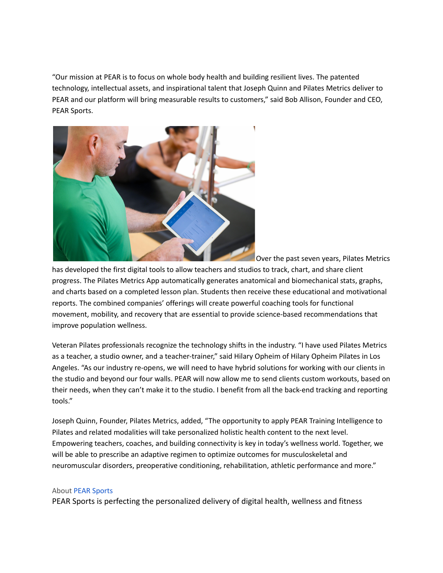"Our mission at PEAR is to focus on whole body health and building resilient lives. The patented technology, intellectual assets, and inspirational talent that Joseph Quinn and Pilates Metrics deliver to PEAR and our platform will bring measurable results to customers," said Bob Allison, Founder and CEO, PEAR Sports.



Over the past seven years, Pilates Metrics

has developed the first digital tools to allow teachers and studios to track, chart, and share client progress. The Pilates Metrics App automatically generates anatomical and biomechanical stats, graphs, and charts based on a completed lesson plan. Students then receive these educational and motivational reports. The combined companies' offerings will create powerful coaching tools for functional movement, mobility, and recovery that are essential to provide science-based recommendations that improve population wellness.

Veteran Pilates professionals recognize the technology shifts in the industry. "I have used Pilates Metrics as a teacher, a studio owner, and a teacher-trainer," said Hilary Opheim of Hilary Opheim Pilates in Los Angeles. "As our industry re-opens, we will need to have hybrid solutions for working with our clients in the studio and beyond our four walls. PEAR will now allow me to send clients custom workouts, based on their needs, when they can't make it to the studio. I benefit from all the back-end tracking and reporting tools."

Joseph Quinn, Founder, Pilates Metrics, added, "The opportunity to apply PEAR Training Intelligence to Pilates and related modalities will take personalized holistic health content to the next level. Empowering teachers, coaches, and building connectivity is key in today's wellness world. Together, we will be able to prescribe an adaptive regimen to optimize outcomes for musculoskeletal and neuromuscular disorders, preoperative conditioning, rehabilitation, athletic performance and more."

#### About PEAR [Sports](http://www.pearsports.com/)

PEAR Sports is perfecting the personalized delivery of digital health, wellness and fitness